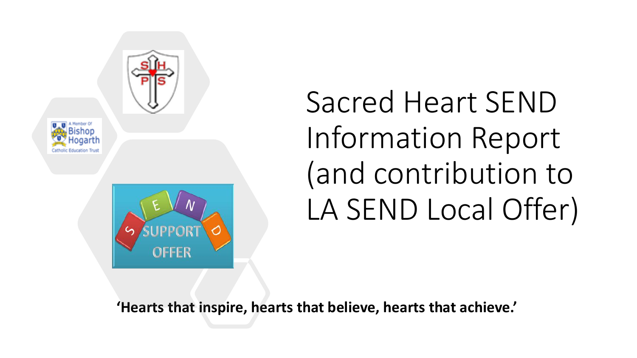





## Sacred Heart SEND Information Report (and contribution to LA SEND Local Offer)

**'Hearts that inspire, hearts that believe, hearts that achieve.'**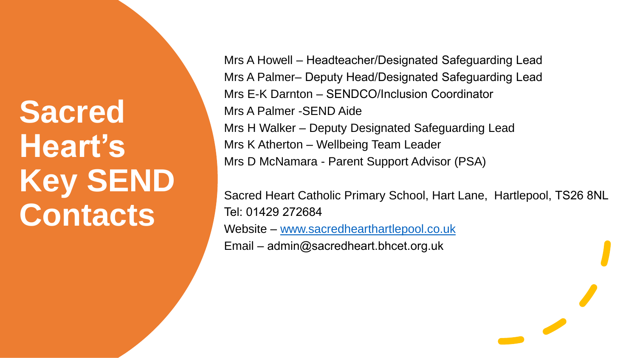**Sacred Heart's Key SEND Contacts**

Mrs A Howell – Headteacher/Designated Safeguarding Lead Mrs A Palmer– Deputy Head/Designated Safeguarding Lead Mrs E-K Darnton – SENDCO/Inclusion Coordinator Mrs A Palmer -SEND Aide Mrs H Walker – Deputy Designated Safeguarding Lead Mrs K Atherton – Wellbeing Team Leader Mrs D McNamara - Parent Support Advisor (PSA)

Sacred Heart Catholic Primary School, Hart Lane, Hartlepool, TS26 8NL Tel: 01429 272684 Website – [www.sacredhearthartlepool.co.uk](http://www.sacredhearthartlepool.co.uk/) Email – admin@sacredheart.bhcet.org.uk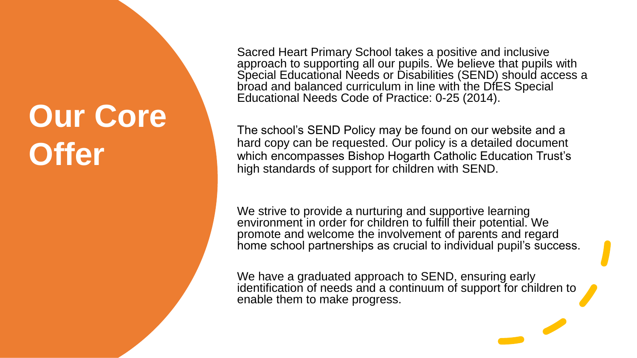## **Our Core Offer**

Sacred Heart Primary School takes a positive and inclusive approach to supporting all our pupils. We believe that pupils with Special Educational Needs or Disabilities (SEND) should access a broad and balanced curriculum in line with the DfES Special Educational Needs Code of Practice: 0-25 (2014).

The school's SEND Policy may be found on our website and a hard copy can be requested. Our policy is a detailed document which encompasses Bishop Hogarth Catholic Education Trust's high standards of support for children with SEND.

We strive to provide a nurturing and supportive learning environment in order for children to fulfill their potential. We promote and welcome the involvement of parents and regard home school partnerships as crucial to individual pupil's success.

We have a graduated approach to SEND, ensuring early identification of needs and a continuum of support for children to enable them to make progress.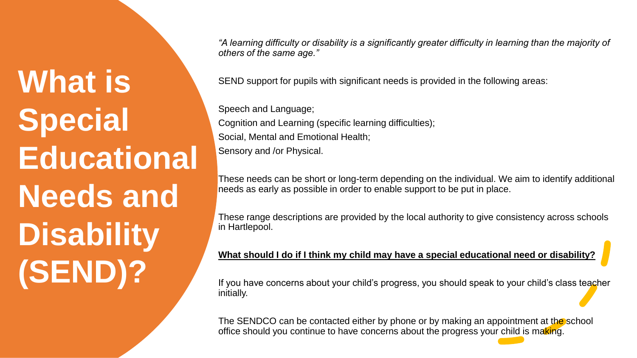# **What is Special Educational Needs and Disability (SEND)?**

*"A learning difficulty or disability is a significantly greater difficulty in learning than the majority of others of the same age."*

SEND support for pupils with significant needs is provided in the following areas:

Speech and Language; Cognition and Learning (specific learning difficulties); Social, Mental and Emotional Health; Sensory and /or Physical.

These needs can be short or long-term depending on the individual. We aim to identify additional needs as early as possible in order to enable support to be put in place.

These range descriptions are provided by the local authority to give consistency across schools in Hartlepool.

### **What should I do if I think my child may have a special educational need or disability?**

If you have concerns about your child's progress, you should speak to your child's class teacher initially.

The SENDCO can be contacted either by phone or by making an appointment at the school office should you continue to have concerns about the progress your child is making.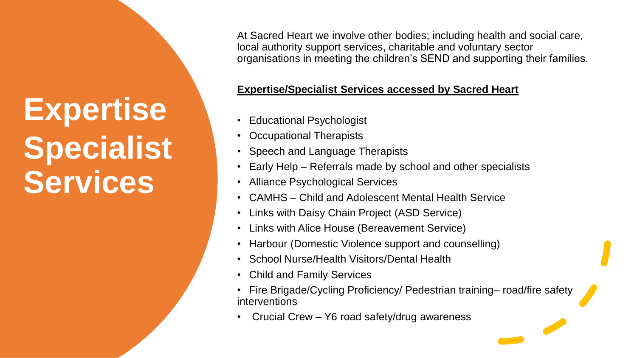## **Expertise Specialist Services**

At Sacred Heart we involve other bodies; including health and social care, local authority support services, charitable and voluntary sector organisations in meeting the children's SEND and supporting their families.

### **Expertise/Specialist Services accessed by Sacred Heart**

- Educational Psychologist
- **Occupational Therapists**
- Speech and Language Therapists
- Early Help Referrals made by school and other specialists
- Alliance Psychological Services
- CAMHS Child and Adolescent Mental Health Service
- Links with Daisy Chain Project (ASD Service)
- Links with Alice House (Bereavement Service)
- Harbour (Domestic Violence support and counselling)
- School Nurse/Health Visitors/Dental Health
- Child and Family Services
- Fire Brigade/Cycling Proficiency/ Pedestrian training– road/fire safety interventions
- Crucial Crew Y6 road safety/drug awareness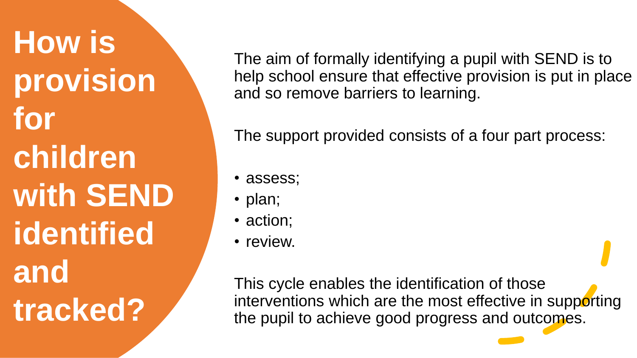**How is provision for children with SEND identified and tracked?**

The aim of formally identifying a pupil with SEND is to help school ensure that effective provision is put in place and so remove barriers to learning.

The support provided consists of a four part process:

- assess;
- plan;
- action;
- review.

This cycle enables the identification of those interventions which are the most effective in supporting the pupil to achieve good progress and outcomes.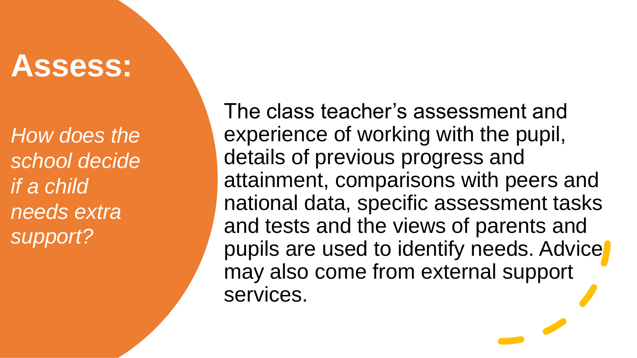### **Assess:**

*How does the school decide if a child needs extra support?*

The class teacher's assessment and experience of working with the pupil, details of previous progress and attainment, comparisons with peers and national data, specific assessment tasks and tests and the views of parents and pupils are used to identify needs. Advice may also come from external support services.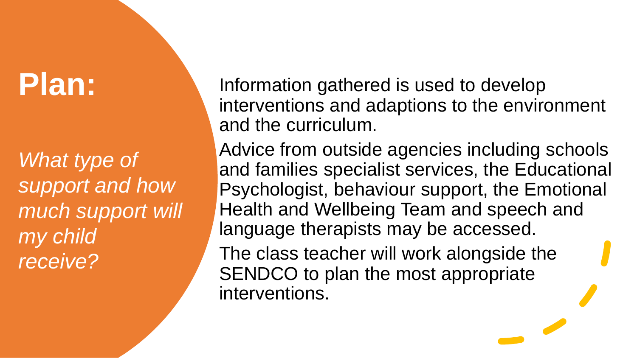### **Plan:**

*What type of support and how much support will my child receive?*

Information gathered is used to develop interventions and adaptions to the environment and the curriculum.

Advice from outside agencies including schools and families specialist services, the Educational Psychologist, behaviour support, the Emotional Health and Wellbeing Team and speech and language therapists may be accessed.

The class teacher will work alongside the SENDCO to plan the most appropriate interventions.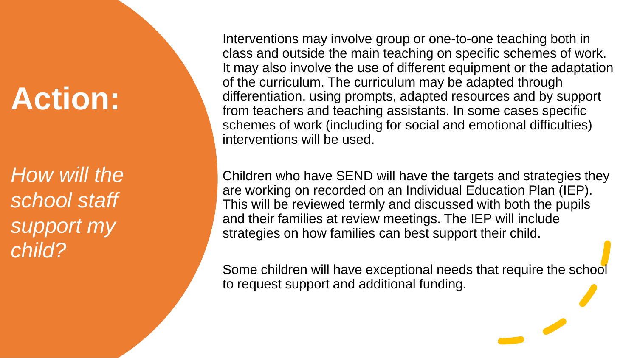## **Action:**

*How will the school staff support my child?*

Interventions may involve group or one-to-one teaching both in class and outside the main teaching on specific schemes of work. It may also involve the use of different equipment or the adaptation of the curriculum. The curriculum may be adapted through differentiation, using prompts, adapted resources and by support from teachers and teaching assistants. In some cases specific schemes of work (including for social and emotional difficulties) interventions will be used.

Children who have SEND will have the targets and strategies they are working on recorded on an Individual Education Plan (IEP). This will be reviewed termly and discussed with both the pupils and their families at review meetings. The IEP will include strategies on how families can best support their child.

Some children will have exceptional needs that require the school to request support and additional funding.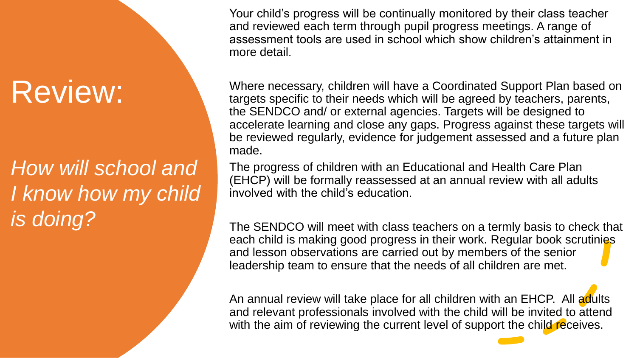## Review:

*How will school and I know how my child is doing?*

Your child's progress will be continually monitored by their class teacher and reviewed each term through pupil progress meetings. A range of assessment tools are used in school which show children's attainment in more detail.

Where necessary, children will have a Coordinated Support Plan based on targets specific to their needs which will be agreed by teachers, parents, the SENDCO and/ or external agencies. Targets will be designed to accelerate learning and close any gaps. Progress against these targets will be reviewed regularly, evidence for judgement assessed and a future plan made.

The progress of children with an Educational and Health Care Plan (EHCP) will be formally reassessed at an annual review with all adults involved with the child's education.

The SENDCO will meet with class teachers on a termly basis to check that each child is making good progress in their work. Regular book scrutinies and lesson observations are carried out by members of the senior leadership team to ensure that the needs of all children are met.

An annual review will take place for all children with an EHCP. All adults and relevant professionals involved with the child will be invited to attend with the aim of reviewing the current level of support the child receives.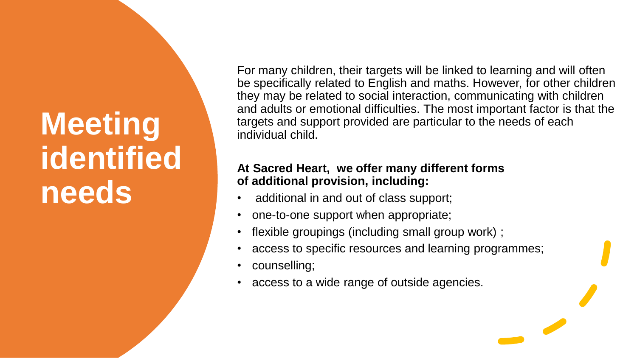## **Meeting identified needs**

For many children, their targets will be linked to learning and will often be specifically related to English and maths. However, for other children they may be related to social interaction, communicating with children and adults or emotional difficulties. The most important factor is that the targets and support provided are particular to the needs of each individual child.

### **At Sacred Heart, we offer many different forms of additional provision, including:**

- additional in and out of class support;
- one-to-one support when appropriate;
- flexible groupings (including small group work) ;
- access to specific resources and learning programmes;
- counselling;
- access to a wide range of outside agencies.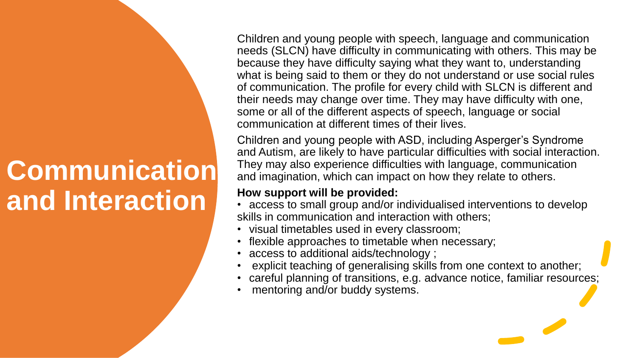### **Communication and Interaction**

Children and young people with speech, language and communication needs (SLCN) have difficulty in communicating with others. This may be because they have difficulty saying what they want to, understanding what is being said to them or they do not understand or use social rules of communication. The profile for every child with SLCN is different and their needs may change over time. They may have difficulty with one, some or all of the different aspects of speech, language or social communication at different times of their lives.

Children and young people with ASD, including Asperger's Syndrome and Autism, are likely to have particular difficulties with social interaction. They may also experience difficulties with language, communication and imagination, which can impact on how they relate to others.

- access to small group and/or individualised interventions to develop skills in communication and interaction with others;
- visual timetables used in every classroom;
- flexible approaches to timetable when necessary;
- access to additional aids/technology ;
- explicit teaching of generalising skills from one context to another;
- careful planning of transitions, e.g. advance notice, familiar resources;
- mentoring and/or buddy systems.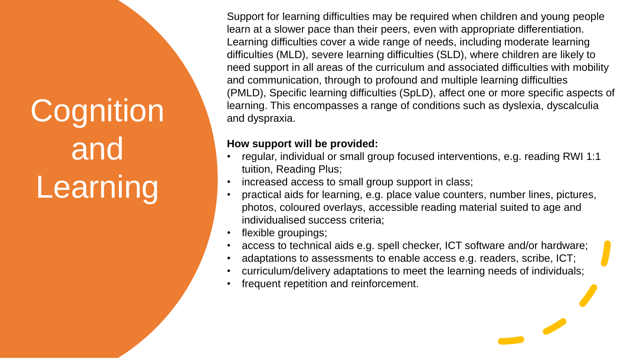# **Cognition** and Learning

Support for learning difficulties may be required when children and young people learn at a slower pace than their peers, even with appropriate differentiation. Learning difficulties cover a wide range of needs, including moderate learning difficulties (MLD), severe learning difficulties (SLD), where children are likely to need support in all areas of the curriculum and associated difficulties with mobility and communication, through to profound and multiple learning difficulties (PMLD), Specific learning difficulties (SpLD), affect one or more specific aspects of learning. This encompasses a range of conditions such as dyslexia, dyscalculia and dyspraxia.

- regular, individual or small group focused interventions, e.g. reading RWI 1:1 tuition, Reading Plus;
- increased access to small group support in class;
- practical aids for learning, e.g. place value counters, number lines, pictures, photos, coloured overlays, accessible reading material suited to age and individualised success criteria;
- flexible groupings;
- access to technical aids e.g. spell checker, ICT software and/or hardware;
- adaptations to assessments to enable access e.g. readers, scribe, ICT;
- curriculum/delivery adaptations to meet the learning needs of individuals;
- frequent repetition and reinforcement.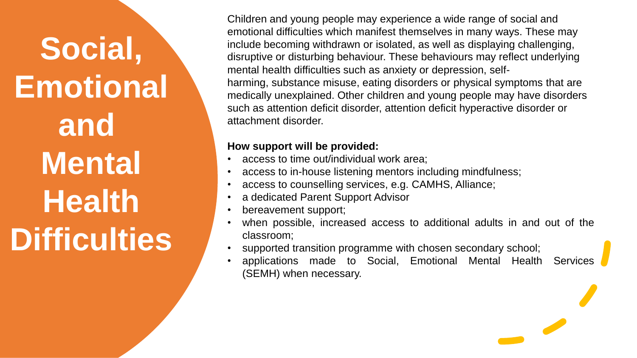# **Social, Emotional and Mental Health Difficulties**

Children and young people may experience a wide range of social and emotional difficulties which manifest themselves in many ways. These may include becoming withdrawn or isolated, as well as displaying challenging, disruptive or disturbing behaviour. These behaviours may reflect underlying mental health difficulties such as anxiety or depression, selfharming, substance misuse, eating disorders or physical symptoms that are medically unexplained. Other children and young people may have disorders such as attention deficit disorder, attention deficit hyperactive disorder or attachment disorder.

- access to time out/individual work area;
- access to in-house listening mentors including mindfulness;
- access to counselling services, e.g. CAMHS, Alliance;
- a dedicated Parent Support Advisor
- bereavement support;
- when possible, increased access to additional adults in and out of the classroom;
- supported transition programme with chosen secondary school;
- applications made to Social, Emotional Mental Health Services (SEMH) when necessary.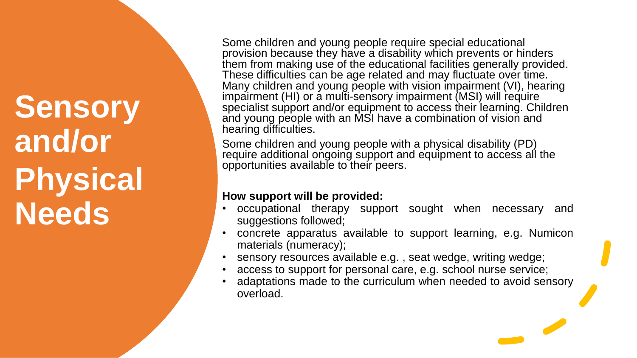## **Sensory and/or Physical Needs**

Some children and young people require special educational provision because they have a disability which prevents or hinders them from making use of the educational facilities generally provided. These difficulties can be age related and may fluctuate over time. Many children and young people with vision impairment (VI), hearing impairment (HI) or a multi-sensory impairment (MSI) will require specialist support and/or equipment to access their learning. Children and young people with an MSI have a combination of vision and hearing difficulties.

Some children and young people with a physical disability (PD) require additional ongoing support and equipment to access all the opportunities available to their peers.

- occupational therapy support sought when necessary and suggestions followed;
- concrete apparatus available to support learning, e.g. Numicon materials (numeracy);
- sensory resources available e.g. , seat wedge, writing wedge;
- access to support for personal care, e.g. school nurse service;
- adaptations made to the curriculum when needed to avoid sensory overload.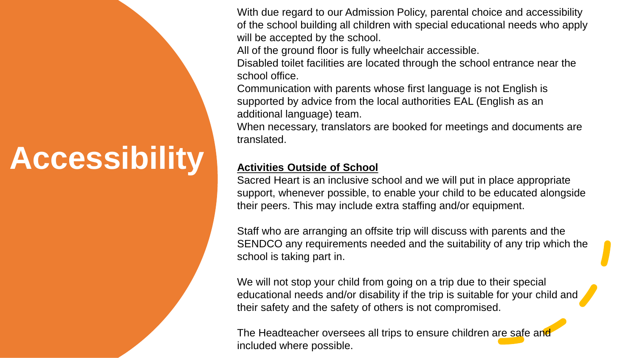## **Accessibility**

With due regard to our Admission Policy, parental choice and accessibility of the school building all children with special educational needs who apply will be accepted by the school.

All of the ground floor is fully wheelchair accessible.

Disabled toilet facilities are located through the school entrance near the school office.

Communication with parents whose first language is not English is supported by advice from the local authorities EAL (English as an additional language) team.

When necessary, translators are booked for meetings and documents are translated.

#### **Activities Outside of School**

Sacred Heart is an inclusive school and we will put in place appropriate support, whenever possible, to enable your child to be educated alongside their peers. This may include extra staffing and/or equipment.

Staff who are arranging an offsite trip will discuss with parents and the SENDCO any requirements needed and the suitability of any trip which the school is taking part in.

We will not stop your child from going on a trip due to their special educational needs and/or disability if the trip is suitable for your child and their safety and the safety of others is not compromised.

The Headteacher oversees all trips to ensure children are safe and included where possible.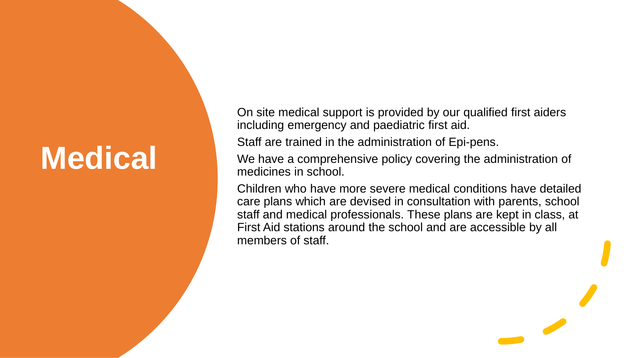## **Medical**

On site medical support is provided by our qualified first aiders including emergency and paediatric first aid.

Staff are trained in the administration of Epi-pens.

We have a comprehensive policy covering the administration of medicines in school.

Children who have more severe medical conditions have detailed care plans which are devised in consultation with parents, school staff and medical professionals. These plans are kept in class, at First Aid stations around the school and are accessible by all members of staff.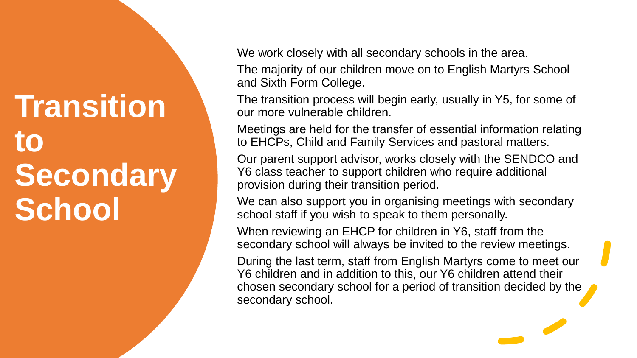## **Transition to Secondary School**

We work closely with all secondary schools in the area.

The majority of our children move on to English Martyrs School and Sixth Form College.

The transition process will begin early, usually in Y5, for some of our more vulnerable children.

Meetings are held for the transfer of essential information relating to EHCPs, Child and Family Services and pastoral matters.

Our parent support advisor, works closely with the SENDCO and Y6 class teacher to support children who require additional provision during their transition period.

We can also support you in organising meetings with secondary school staff if you wish to speak to them personally.

When reviewing an EHCP for children in Y6, staff from the secondary school will always be invited to the review meetings.

During the last term, staff from English Martyrs come to meet our Y6 children and in addition to this, our Y6 children attend their chosen secondary school for a period of transition decided by the secondary school.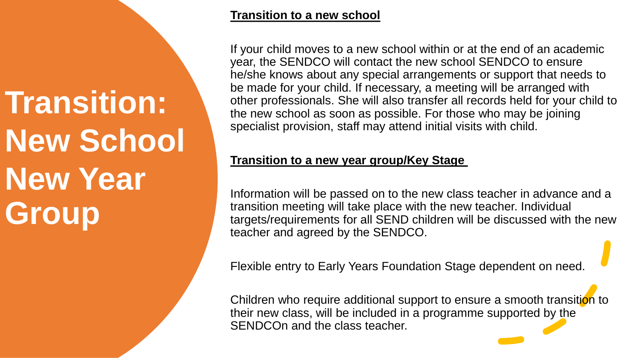**Transition: New School New Year Group**

#### **Transition to a new school**

If your child moves to a new school within or at the end of an academic year, the SENDCO will contact the new school SENDCO to ensure he/she knows about any special arrangements or support that needs to be made for your child. If necessary, a meeting will be arranged with other professionals. She will also transfer all records held for your child to the new school as soon as possible. For those who may be joining specialist provision, staff may attend initial visits with child.

### **Transition to a new year group/Key Stage**

Information will be passed on to the new class teacher in advance and a transition meeting will take place with the new teacher. Individual targets/requirements for all SEND children will be discussed with the new teacher and agreed by the SENDCO.

Flexible entry to Early Years Foundation Stage dependent on need.

Children who require additional support to ensure a smooth transition to their new class, will be included in a programme supported by the SENDCOn and the class teacher.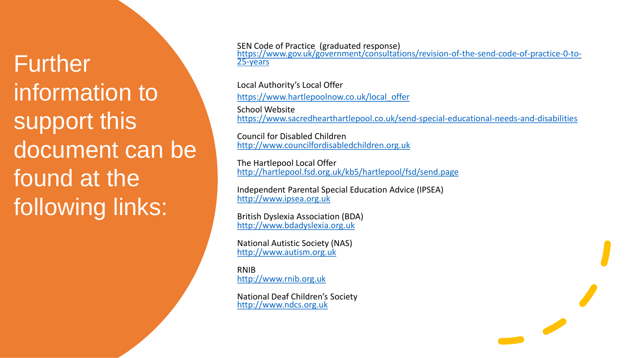Further information to support this document can be found at the following links:

SEN Code of Practice (graduated response)

[https://www.gov.uk/government/consultations/revision-of-the-send-code-of-practice-0-to-](https://www.gov.uk/government/consultations/revision-of-the-send-code-of-practice-0-to-25-years)25-years

Local Authority's Local Offer [https://www.hartlepoolnow.co.uk/local\\_offer](https://www.hartlepoolnow.co.uk/local_offer) School Website <https://www.sacredhearthartlepool.co.uk/send-special-educational-needs-and-disabilities>

Council for Disabled Children [http://www.councilfordisabledchildren.org.uk](http://www.councilfordisabledchildren.org.uk/)

The Hartlepool Local Offer <http://hartlepool.fsd.org.uk/kb5/hartlepool/fsd/send.page>

Independent Parental Special Education Advice (IPSEA) [http://www.ipsea.org.uk](http://www.ipsea.org.uk/)

British Dyslexia Association (BDA) [http://www.bdadyslexia.org.uk](http://www.bdadyslexia.org.uk/)

National Autistic Society (NAS) [http://www.autism.org.uk](http://www.autism.org.uk/)

RNIB [http://www.rnib.org.uk](http://www.rnib.org.uk/)

National Deaf Children's Society [http://www.ndcs.org.uk](http://www.ndcs.org.uk/)